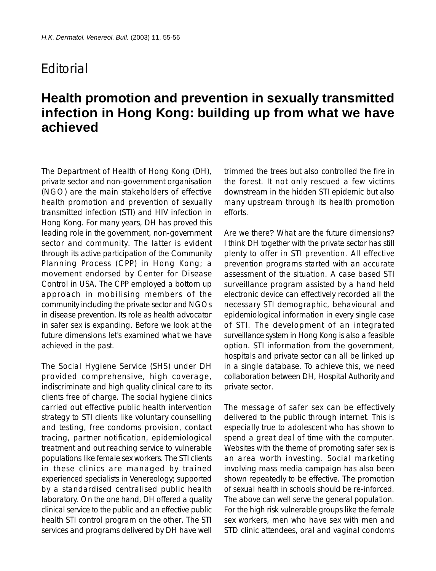## **F**ditorial

## **Health promotion and prevention in sexually transmitted infection in Hong Kong: building up from what we have achieved**

The Department of Health of Hong Kong (DH), private sector and non-government organisation (NGO) are the main stakeholders of effective health promotion and prevention of sexually transmitted infection (STI) and HIV infection in Hong Kong. For many years, DH has proved this leading role in the government, non-government sector and community. The latter is evident through its active participation of the Community Planning Process (CPP) in Hong Kong; a movement endorsed by Center for Disease Control in USA. The CPP employed a bottom up approach in mobilising members of the community including the private sector and NGOs in disease prevention. Its role as health advocator in safer sex is expanding. Before we look at the future dimensions let's examined what we have achieved in the past.

The Social Hygiene Service (SHS) under DH provided comprehensive, high coverage, indiscriminate and high quality clinical care to its clients free of charge. The social hygiene clinics carried out effective public health intervention strategy to STI clients like voluntary counselling and testing, free condoms provision, contact tracing, partner notification, epidemiological treatment and out reaching service to vulnerable populations like female sex workers. The STI clients in these clinics are managed by trained experienced specialists in Venereology; supported by a standardised centralised public health laboratory. On the one hand, DH offered a quality clinical service to the public and an effective public health STI control program on the other. The STI services and programs delivered by DH have well

trimmed the trees but also controlled the fire in the forest. It not only rescued a few victims downstream in the hidden STI epidemic but also many upstream through its health promotion efforts.

Are we there? What are the future dimensions? I think DH together with the private sector has still plenty to offer in STI prevention. All effective prevention programs started with an accurate assessment of the situation. A case based STI surveillance program assisted by a hand held electronic device can effectively recorded all the necessary STI demographic, behavioural and epidemiological information in every single case of STI. The development of an integrated surveillance system in Hong Kong is also a feasible option. STI information from the government, hospitals and private sector can all be linked up in a single database. To achieve this, we need collaboration between DH, Hospital Authority and private sector.

The message of safer sex can be effectively delivered to the public through internet. This is especially true to adolescent who has shown to spend a great deal of time with the computer. Websites with the theme of promoting safer sex is an area worth investing. Social marketing involving mass media campaign has also been shown repeatedly to be effective. The promotion of sexual health in schools should be re-inforced. The above can well serve the general population. For the high risk vulnerable groups like the female sex workers, men who have sex with men and STD clinic attendees, oral and vaginal condoms